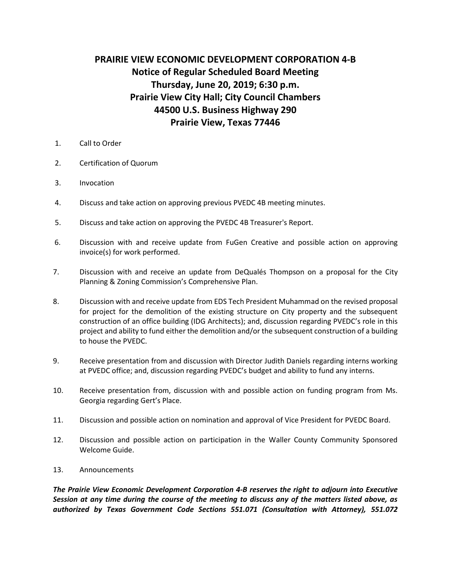## **PRAIRIE VIEW ECONOMIC DEVELOPMENT CORPORATION 4-B Notice of Regular Scheduled Board Meeting Thursday, June 20, 2019; 6:30 p.m. Prairie View City Hall; City Council Chambers 44500 U.S. Business Highway 290 Prairie View, Texas 77446**

- 1. Call to Order
- 2. Certification of Quorum
- 3. Invocation
- 4. Discuss and take action on approving previous PVEDC 4B meeting minutes.
- 5. Discuss and take action on approving the PVEDC 4B Treasurer's Report.
- 6. Discussion with and receive update from FuGen Creative and possible action on approving invoice(s) for work performed.
- 7. Discussion with and receive an update from DeQualés Thompson on a proposal for the City Planning & Zoning Commission's Comprehensive Plan.
- 8. Discussion with and receive update from EDS Tech President Muhammad on the revised proposal for project for the demolition of the existing structure on City property and the subsequent construction of an office building (IDG Architects); and, discussion regarding PVEDC's role in this project and ability to fund either the demolition and/or the subsequent construction of a building to house the PVEDC.
- 9. Receive presentation from and discussion with Director Judith Daniels regarding interns working at PVEDC office; and, discussion regarding PVEDC's budget and ability to fund any interns.
- 10. Receive presentation from, discussion with and possible action on funding program from Ms. Georgia regarding Gert's Place.
- 11. Discussion and possible action on nomination and approval of Vice President for PVEDC Board.
- 12. Discussion and possible action on participation in the Waller County Community Sponsored Welcome Guide.
- 13. Announcements

*The Prairie View Economic Development Corporation 4-B reserves the right to adjourn into Executive Session at any time during the course of the meeting to discuss any of the matters listed above, as authorized by Texas Government Code Sections 551.071 (Consultation with Attorney), 551.072*